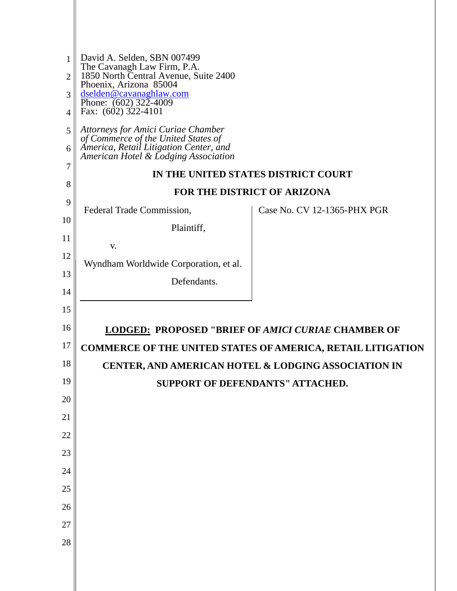| $\mathbf{1}$<br>$\overline{2}$<br>3 | David A. Selden, SBN 007499<br>The Cavanagh Law Firm, P.A.<br>1850 North Central Avenue, Suite 2400<br>Phoenix, Arizona 85004<br>dselden@cavanaghlaw.com<br>Phone: $(602)$ 322-4009 |                                                                    |
|-------------------------------------|-------------------------------------------------------------------------------------------------------------------------------------------------------------------------------------|--------------------------------------------------------------------|
| $\overline{A}$                      | Fax: (602) 322-4101                                                                                                                                                                 |                                                                    |
| 5<br>6                              | Attorneys for Amici Curiae Chamber<br>of Commerce of the United States of<br>America, Retail Litigation Center, and                                                                 |                                                                    |
| 7                                   | American Hotel & Lodging Association                                                                                                                                                |                                                                    |
| 8                                   |                                                                                                                                                                                     | IN THE UNITED STATES DISTRICT COURT                                |
| 9                                   |                                                                                                                                                                                     | <b>FOR THE DISTRICT OF ARIZONA</b>                                 |
| 10                                  | Federal Trade Commission,                                                                                                                                                           | Case No. CV 12-1365-PHX PGR                                        |
| 11                                  | Plaintiff,                                                                                                                                                                          |                                                                    |
| 12                                  | V.                                                                                                                                                                                  |                                                                    |
| 13                                  | Wyndham Worldwide Corporation, et al.                                                                                                                                               |                                                                    |
| 14                                  | Defendants.                                                                                                                                                                         |                                                                    |
| 15                                  |                                                                                                                                                                                     |                                                                    |
| 16                                  |                                                                                                                                                                                     | <b>LODGED: PROPOSED "BRIEF OF AMICI CURIAE CHAMBER OF</b>          |
| 17                                  |                                                                                                                                                                                     | <b>COMMERCE OF THE UNITED STATES OF AMERICA, RETAIL LITIGATION</b> |
| 18                                  |                                                                                                                                                                                     | CENTER, AND AMERICAN HOTEL & LODGING ASSOCIATION IN                |
| 19                                  |                                                                                                                                                                                     | <b>SUPPORT OF DEFENDANTS" ATTACHED.</b>                            |
| 20                                  |                                                                                                                                                                                     |                                                                    |
| 21                                  |                                                                                                                                                                                     |                                                                    |
| 22                                  |                                                                                                                                                                                     |                                                                    |
| 23                                  |                                                                                                                                                                                     |                                                                    |
| 24                                  |                                                                                                                                                                                     |                                                                    |
| 25                                  |                                                                                                                                                                                     |                                                                    |
| 26                                  |                                                                                                                                                                                     |                                                                    |
| 27                                  |                                                                                                                                                                                     |                                                                    |
| 28                                  |                                                                                                                                                                                     |                                                                    |
|                                     |                                                                                                                                                                                     |                                                                    |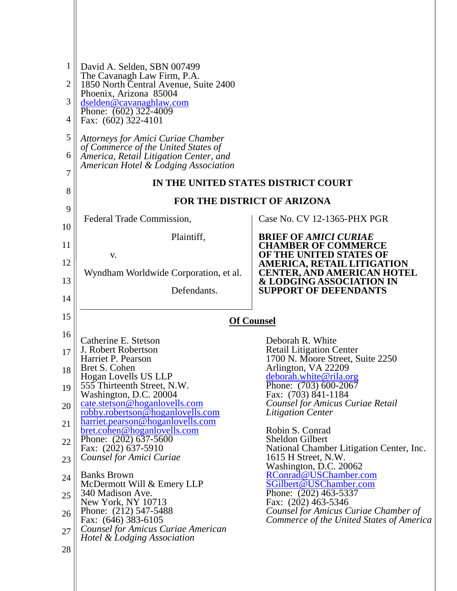| $\mathbf{1}$<br>$\overline{2}$ | David A. Selden, SBN 007499<br>The Cavanagh Law Firm, P.A.<br>1850 North Central Avenue, Suite 2400                   |                                                                                      |
|--------------------------------|-----------------------------------------------------------------------------------------------------------------------|--------------------------------------------------------------------------------------|
| 3                              | Phoenix, Arizona 85004<br>dselden@cavanaghlaw.com                                                                     |                                                                                      |
| 4                              | Phone: $(602)$ 322-4009<br>Fax: (602) 322-4101                                                                        |                                                                                      |
| 5                              | <b>Attorneys for Amici Curiae Chamber</b>                                                                             |                                                                                      |
| 6                              | of Commerce of the United States of<br>America, Retail Litigation Center, and<br>American Hotel & Lodging Association |                                                                                      |
| $\overline{7}$                 |                                                                                                                       | IN THE UNITED STATES DISTRICT COURT                                                  |
| 8                              |                                                                                                                       | <b>FOR THE DISTRICT OF ARIZONA</b>                                                   |
| 9                              |                                                                                                                       |                                                                                      |
| 10                             | Federal Trade Commission,                                                                                             | Case No. CV 12-1365-PHX PGR                                                          |
| 11                             | Plaintiff,                                                                                                            | <b>BRIEF OF AMICI CURIAE</b><br><b>CHAMBER OF COMMERCE</b>                           |
| 12                             | V.                                                                                                                    | OF THE UNITED STATES OF<br><b>AMERICA, RETAIL LITIGATION</b>                         |
| 13                             | Wyndham Worldwide Corporation, et al.                                                                                 | <b>CENTER, AND AMERICAN HOTEL</b><br>& LODGING ASSOCIATION IN                        |
| 14                             | Defendants.                                                                                                           | <b>SUPPORT OF DEFENDANTS</b>                                                         |
| 15                             |                                                                                                                       | <b>Of Counsel</b>                                                                    |
|                                |                                                                                                                       |                                                                                      |
| 16                             |                                                                                                                       |                                                                                      |
| 17                             | Catherine E. Stetson<br>J. Robert Robertson                                                                           | Deborah R. White<br><b>Retail Litigation Center</b>                                  |
| 18                             | Harriet P. Pearson<br>Bret S. Cohen                                                                                   | 1700 N. Moore Street, Suite 2250<br>Arlington, VA 22209                              |
|                                | Hogan Lovells US LLP                                                                                                  | deborah.white@rila.org                                                               |
| 19                             | 555 Thirteenth Street, N.W.<br>Washington, D.C. 20004                                                                 | Phone: (703) 600-2067<br>Fax: (703) 841-1184                                         |
| 20                             | cate.stetson@hoganlovells.com<br>robby.robertson@hoganlovells.com                                                     | Counsel for Amicus Curiae Retail<br><b>Litigation Center</b>                         |
| 21                             | harriet.pearson@hoganlovells.com                                                                                      |                                                                                      |
| 22                             | bret.cohen@hoganlovells.com<br>Phone: (202) 637-5600                                                                  | Robin S. Conrad<br>Sheldon Gilbert                                                   |
|                                | Fax: (202) 637-5910<br>Counsel for Amici Curiae                                                                       | National Chamber Litigation Center, Inc.<br>1615 H Street, N.W.                      |
| 23<br>24                       | <b>Banks Brown</b>                                                                                                    | Washington, D.C. 20062<br>RConrad@USChamber.com                                      |
|                                | McDermott Will & Emery LLP                                                                                            | SGilbert@USChamber.com                                                               |
| 25<br>26                       | 340 Madison Ave.<br>New York, NY 10713<br>Phone: (212) 547-5488                                                       | Phone: (202) 463-5337<br>Fax: (202) 463-5346<br>Counsel for Amicus Curiae Chamber of |
| 27                             | Fax: (646) 383-6105<br>Counsel for Amicus Curiae American                                                             | Commerce of the United States of America                                             |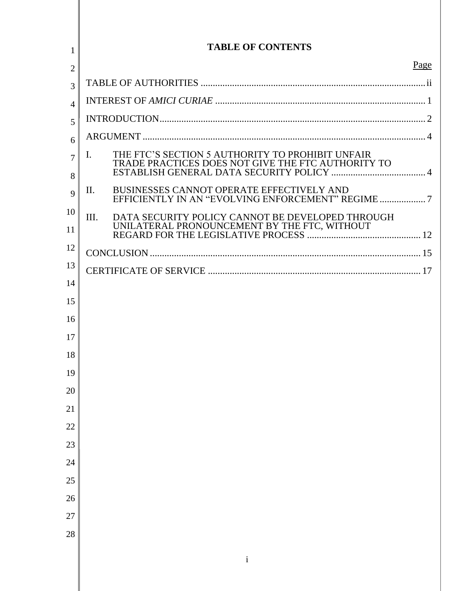| 1                   | <b>TABLE OF CONTENTS</b>                                                                                     |
|---------------------|--------------------------------------------------------------------------------------------------------------|
| $\overline{2}$      | Page                                                                                                         |
| 3                   |                                                                                                              |
| 4                   |                                                                                                              |
| 5                   |                                                                                                              |
| 6                   |                                                                                                              |
| $\overline{7}$<br>8 | THE FTC'S SECTION 5 AUTHORITY TO PROHIBIT UNFAIR<br>Ι.<br>TRADE PRACTICES DOES NOT GIVE THE FTC AUTHORITY TO |
| 9                   | BUSINESSES CANNOT OPERATE EFFECTIVELY AND<br>II.                                                             |
| 10<br>11            | Ш.<br>DATA SECURITY POLICY CANNOT BE DEVELOPED THROUGH<br>UNILATERAL PRONOUNCEMENT BY THE FTC, WITHOUT       |
| 12                  |                                                                                                              |
| 13                  |                                                                                                              |
| 14                  |                                                                                                              |
| 15                  |                                                                                                              |
| 16                  |                                                                                                              |
| 17                  |                                                                                                              |
| 18                  |                                                                                                              |
| 19                  |                                                                                                              |
| 20                  |                                                                                                              |
| 21<br>22            |                                                                                                              |
| 23                  |                                                                                                              |
| 24                  |                                                                                                              |
| 25                  |                                                                                                              |
| 26                  |                                                                                                              |
| 27                  |                                                                                                              |
| 28                  |                                                                                                              |
|                     |                                                                                                              |
|                     | $\mathbf{i}$                                                                                                 |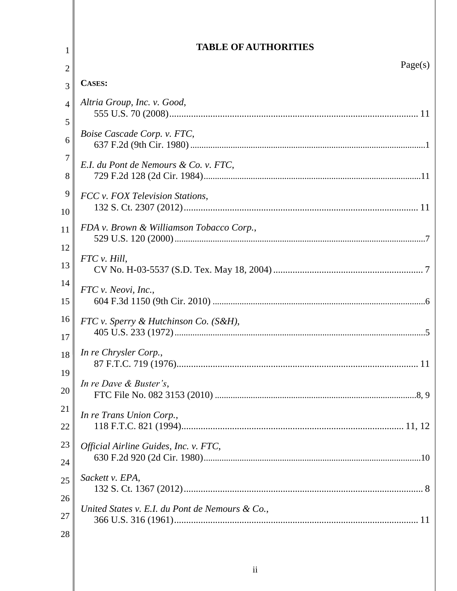# TABLE OF AUTHORITIES

 $\,1\,$ 

| $\overline{2}$ | Page(s)                                         |
|----------------|-------------------------------------------------|
| 3              | <b>CASES:</b>                                   |
| $\overline{4}$ | Altria Group, Inc. v. Good,                     |
| 5              |                                                 |
| 6              | Boise Cascade Corp. v. FTC,                     |
| $\overline{7}$ | E.I. du Pont de Nemours & Co. v. FTC,           |
| 8              |                                                 |
| 9              | FCC v. FOX Television Stations,                 |
| 10             |                                                 |
| 11             | FDA v. Brown & Williamson Tobacco Corp.,        |
| 12             |                                                 |
| 13             | FTC v. Hill,                                    |
| 14             | FTC v. Neovi, Inc.,                             |
| 15             |                                                 |
| 16             | FTC v. Sperry & Hutchinson Co. (S&H),           |
| 17             |                                                 |
| 18             | In re Chrysler Corp.,                           |
| 19             |                                                 |
| 20             | In re Dave & Buster's,                          |
| 21             | In re Trans Union Corp.,                        |
| 22             |                                                 |
| 23             | Official Airline Guides, Inc. v. FTC,           |
| 24             |                                                 |
| 25             | Sackett v. EPA,                                 |
| 26             |                                                 |
| 27             | United States v. E.I. du Pont de Nemours & Co., |
| 28             |                                                 |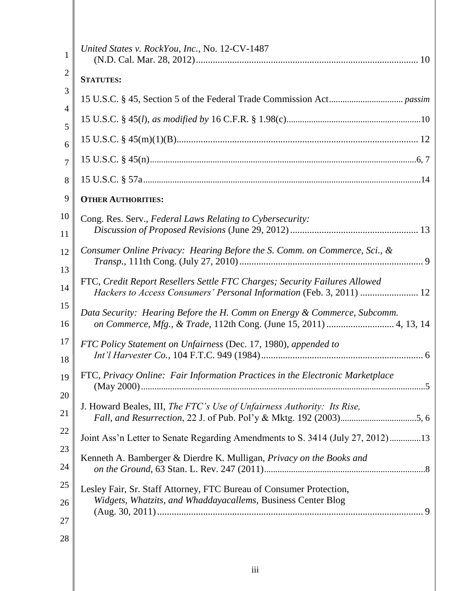| 1                   | United States v. RockYou, Inc., No. 12-CV-1487                                                                                                     |
|---------------------|----------------------------------------------------------------------------------------------------------------------------------------------------|
| $\overline{2}$      | <b>STATUTES:</b>                                                                                                                                   |
| 3<br>$\overline{4}$ |                                                                                                                                                    |
| 5                   |                                                                                                                                                    |
| 6                   |                                                                                                                                                    |
| $\overline{7}$      |                                                                                                                                                    |
| 8                   |                                                                                                                                                    |
| 9                   | <b>OTHER AUTHORITIES:</b>                                                                                                                          |
| 10                  | Cong. Res. Serv., Federal Laws Relating to Cybersecurity:                                                                                          |
| 11                  |                                                                                                                                                    |
| 12                  | Consumer Online Privacy: Hearing Before the S. Comm. on Commerce, Sci., &                                                                          |
| 13                  |                                                                                                                                                    |
| 14                  | FTC, Credit Report Resellers Settle FTC Charges; Security Failures Allowed<br>Hackers to Access Consumers' Personal Information (Feb. 3, 2011)  12 |
| 15<br>16            | Data Security: Hearing Before the H. Comm on Energy & Commerce, Subcomm.                                                                           |
| 17<br>18            | FTC Policy Statement on Unfairness (Dec. 17, 1980), appended to                                                                                    |
| 19                  | FTC, Privacy Online: Fair Information Practices in the Electronic Marketplace                                                                      |
| 20                  | J. Howard Beales, III, The FTC's Use of Unfairness Authority: Its Rise,                                                                            |
| 21                  |                                                                                                                                                    |
| 22                  | Joint Ass'n Letter to Senate Regarding Amendments to S. 3414 (July 27, 2012)13                                                                     |
| 23                  | Kenneth A. Bamberger & Dierdre K. Mulligan, Privacy on the Books and                                                                               |
| 24                  |                                                                                                                                                    |
| 25                  | Lesley Fair, Sr. Staff Attorney, FTC Bureau of Consumer Protection,                                                                                |
| 26                  | Widgets, Whatzits, and Whaddayacallems, Business Center Blog                                                                                       |
| 27                  |                                                                                                                                                    |
| 28                  |                                                                                                                                                    |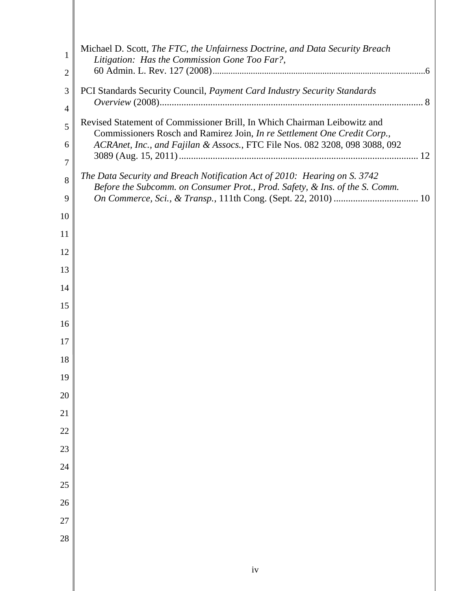| 1                   | Michael D. Scott, The FTC, the Unfairness Doctrine, and Data Security Breach<br>Litigation: Has the Commission Gone Too Far?,                        |
|---------------------|------------------------------------------------------------------------------------------------------------------------------------------------------|
| $\overline{2}$      |                                                                                                                                                      |
| 3                   | PCI Standards Security Council, Payment Card Industry Security Standards                                                                             |
| $\overline{4}$      |                                                                                                                                                      |
| 5                   | Revised Statement of Commissioner Brill, In Which Chairman Leibowitz and<br>Commissioners Rosch and Ramirez Join, In re Settlement One Credit Corp., |
| 6<br>$\overline{7}$ | ACRAnet, Inc., and Fajilan & Assocs., FTC File Nos. 082 3208, 098 3088, 092                                                                          |
|                     | The Data Security and Breach Notification Act of 2010: Hearing on S. 3742                                                                            |
| 8<br>9              | Before the Subcomm. on Consumer Prot., Prod. Safety, & Ins. of the S. Comm.                                                                          |
| 10                  |                                                                                                                                                      |
| 11                  |                                                                                                                                                      |
| 12                  |                                                                                                                                                      |
| 13                  |                                                                                                                                                      |
| 14                  |                                                                                                                                                      |
| 15                  |                                                                                                                                                      |
| 16                  |                                                                                                                                                      |
| 17                  |                                                                                                                                                      |
| 18                  |                                                                                                                                                      |
| 19                  |                                                                                                                                                      |
| 20                  |                                                                                                                                                      |
| 21                  |                                                                                                                                                      |
| $22\,$              |                                                                                                                                                      |
| 23                  |                                                                                                                                                      |
| 24                  |                                                                                                                                                      |
| 25                  |                                                                                                                                                      |
| 26                  |                                                                                                                                                      |
| 27                  |                                                                                                                                                      |
| 28                  |                                                                                                                                                      |
|                     |                                                                                                                                                      |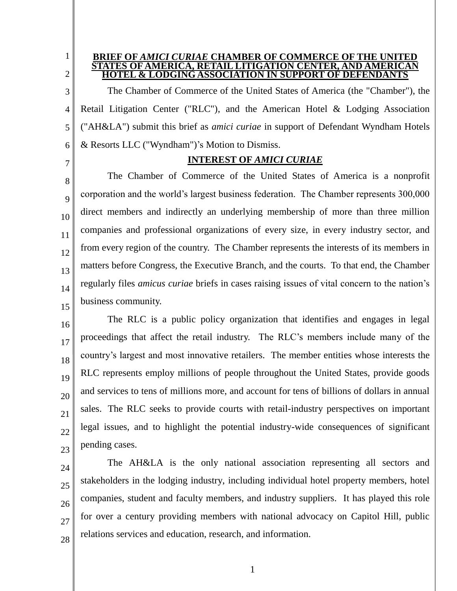2

1

#### **BRIEF OF** *AMICI CURIAE* **CHAMBER OF COMMERCE OF THE UNITED STATES OF AMERICA, RETAIL LITIGATION CENTER. AND AMER HOTEL & LODGING ASSOCIATION IN SUPPORT OF DEFENDANTS**

3 4 5 6 The Chamber of Commerce of the United States of America (the "Chamber"), the Retail Litigation Center ("RLC"), and the American Hotel & Lodging Association ("AH&LA") submit this brief as *amici curiae* in support of Defendant Wyndham Hotels & Resorts LLC ("Wyndham")'s Motion to Dismiss.

7

## **INTEREST OF** *AMICI CURIAE*

8  $\overline{Q}$ 10 11  $12$ 13 14 15 The Chamber of Commerce of the United States of America is a nonprofit corporation and the world's largest business federation. The Chamber represents 300,000 direct members and indirectly an underlying membership of more than three million companies and professional organizations of every size, in every industry sector, and from every region of the country. The Chamber represents the interests of its members in matters before Congress, the Executive Branch, and the courts. To that end, the Chamber regularly files *amicus curiae* briefs in cases raising issues of vital concern to the nation's business community.

16 17 18 19 20 21 22 23 The RLC is a public policy organization that identifies and engages in legal proceedings that affect the retail industry. The RLC's members include many of the country's largest and most innovative retailers. The member entities whose interests the RLC represents employ millions of people throughout the United States, provide goods and services to tens of millions more, and account for tens of billions of dollars in annual sales. The RLC seeks to provide courts with retail-industry perspectives on important legal issues, and to highlight the potential industry-wide consequences of significant pending cases.

24 25 26 27 28 The AH&LA is the only national association representing all sectors and stakeholders in the lodging industry, including individual hotel property members, hotel companies, student and faculty members, and industry suppliers. It has played this role for over a century providing members with national advocacy on Capitol Hill, public relations services and education, research, and information.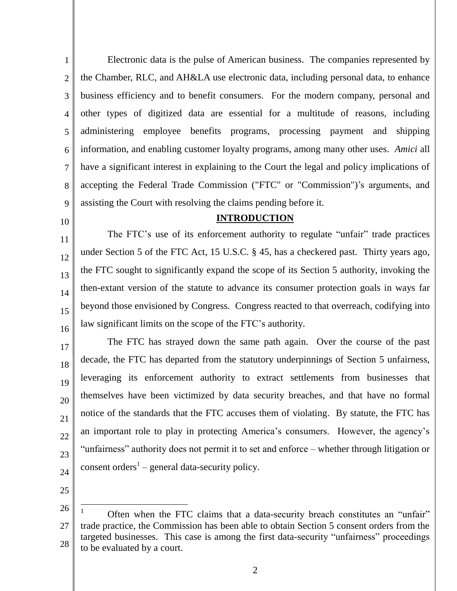1 2 3 4 5 6 7 8  $\mathbf Q$ Electronic data is the pulse of American business. The companies represented by the Chamber, RLC, and AH&LA use electronic data, including personal data, to enhance business efficiency and to benefit consumers. For the modern company, personal and other types of digitized data are essential for a multitude of reasons, including administering employee benefits programs, processing payment and shipping information, and enabling customer loyalty programs, among many other uses. *Amici* all have a significant interest in explaining to the Court the legal and policy implications of accepting the Federal Trade Commission ("FTC" or "Commission")'s arguments, and assisting the Court with resolving the claims pending before it.

10

#### **INTRODUCTION**

11 12 13 14 15 16 The FTC's use of its enforcement authority to regulate "unfair" trade practices under Section 5 of the FTC Act, 15 U.S.C. § 45, has a checkered past. Thirty years ago, the FTC sought to significantly expand the scope of its Section 5 authority, invoking the then-extant version of the statute to advance its consumer protection goals in ways far beyond those envisioned by Congress. Congress reacted to that overreach, codifying into law significant limits on the scope of the FTC's authority.

- 17 18 19 20 21 22 23 24 The FTC has strayed down the same path again. Over the course of the past decade, the FTC has departed from the statutory underpinnings of Section 5 unfairness, leveraging its enforcement authority to extract settlements from businesses that themselves have been victimized by data security breaches, and that have no formal notice of the standards that the FTC accuses them of violating. By statute, the FTC has an important role to play in protecting America's consumers. However, the agency's "unfairness" authority does not permit it to set and enforce – whether through litigation or consent orders<sup>1</sup> – general data-security policy.
- 25

<sup>26</sup> 27 28 Often when the FTC claims that a data-security breach constitutes an "unfair" trade practice, the Commission has been able to obtain Section 5 consent orders from the targeted businesses. This case is among the first data-security "unfairness" proceedings to be evaluated by a court.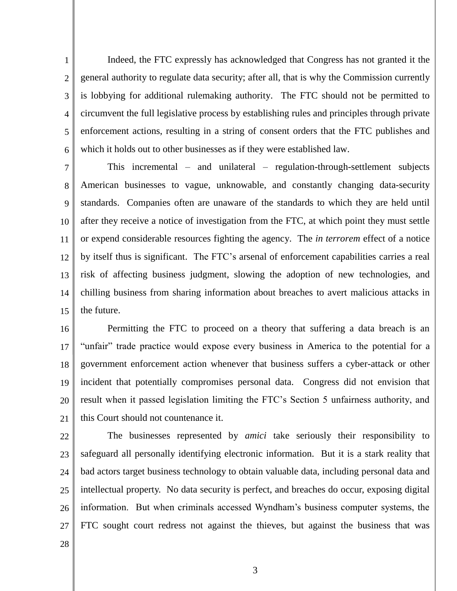1 2 3 4 5 6 Indeed, the FTC expressly has acknowledged that Congress has not granted it the general authority to regulate data security; after all, that is why the Commission currently is lobbying for additional rulemaking authority. The FTC should not be permitted to circumvent the full legislative process by establishing rules and principles through private enforcement actions, resulting in a string of consent orders that the FTC publishes and which it holds out to other businesses as if they were established law.

7 8 9 10 11 12 13 14 15 This incremental – and unilateral – regulation-through-settlement subjects American businesses to vague, unknowable, and constantly changing data-security standards. Companies often are unaware of the standards to which they are held until after they receive a notice of investigation from the FTC, at which point they must settle or expend considerable resources fighting the agency. The *in terrorem* effect of a notice by itself thus is significant. The FTC's arsenal of enforcement capabilities carries a real risk of affecting business judgment, slowing the adoption of new technologies, and chilling business from sharing information about breaches to avert malicious attacks in the future.

16 17 18 19 20 21 Permitting the FTC to proceed on a theory that suffering a data breach is an "unfair" trade practice would expose every business in America to the potential for a government enforcement action whenever that business suffers a cyber-attack or other incident that potentially compromises personal data. Congress did not envision that result when it passed legislation limiting the FTC's Section 5 unfairness authority, and this Court should not countenance it.

22 23 24 25 26 27 The businesses represented by *amici* take seriously their responsibility to safeguard all personally identifying electronic information. But it is a stark reality that bad actors target business technology to obtain valuable data, including personal data and intellectual property. No data security is perfect, and breaches do occur, exposing digital information. But when criminals accessed Wyndham's business computer systems, the FTC sought court redress not against the thieves, but against the business that was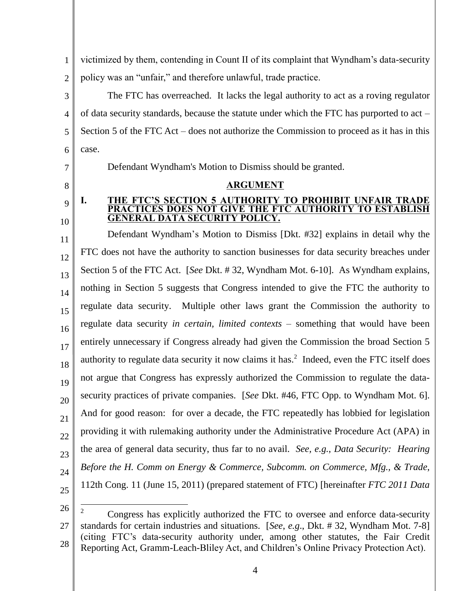1 2 victimized by them, contending in Count II of its complaint that Wyndham's data-security policy was an "unfair," and therefore unlawful, trade practice.

3 4 5 6 The FTC has overreached. It lacks the legal authority to act as a roving regulator of data security standards, because the statute under which the FTC has purported to act – Section 5 of the FTC Act – does not authorize the Commission to proceed as it has in this case.

**ARGUMENT**

Defendant Wyndham's Motion to Dismiss should be granted.

- 7
- 8
- $\mathbf Q$

10

#### **I. THE FTC'S SECTION 5 AUTHORITY TO PROHIBIT UNFAIR TRADE PRACTICES DOES NOT GIVE THE FTC AUTHORITY TO ESTABLISH GENERAL DATA SECURITY POLICY.**

11 12 13 14 15 16 17 18 19 20 21 22 23 24 25 Defendant Wyndham's Motion to Dismiss [Dkt. #32] explains in detail why the FTC does not have the authority to sanction businesses for data security breaches under Section 5 of the FTC Act. [*See* Dkt. # 32, Wyndham Mot. 6-10]. As Wyndham explains, nothing in Section 5 suggests that Congress intended to give the FTC the authority to regulate data security. Multiple other laws grant the Commission the authority to regulate data security *in certain, limited contexts* – something that would have been entirely unnecessary if Congress already had given the Commission the broad Section 5 authority to regulate data security it now claims it has.<sup>2</sup> Indeed, even the FTC itself does not argue that Congress has expressly authorized the Commission to regulate the datasecurity practices of private companies. [*See* Dkt. #46, FTC Opp. to Wyndham Mot. 6]. And for good reason: for over a decade, the FTC repeatedly has lobbied for legislation providing it with rulemaking authority under the Administrative Procedure Act (APA) in the area of general data security, thus far to no avail. *See, e.g.*, *Data Security: Hearing Before the H. Comm on Energy & Commerce, Subcomm. on Commerce, Mfg., & Trade*, 112th Cong. 11 (June 15, 2011) (prepared statement of FTC) [hereinafter *FTC 2011 Data* 

<sup>27</sup> 28  $\overline{2}$ <sup>2</sup> Congress has explicitly authorized the FTC to oversee and enforce data-security standards for certain industries and situations. [*See*, *e.g*., Dkt. # 32, Wyndham Mot. 7-8] (citing FTC's data-security authority under, among other statutes, the Fair Credit Reporting Act, Gramm-Leach-Bliley Act, and Children's Online Privacy Protection Act).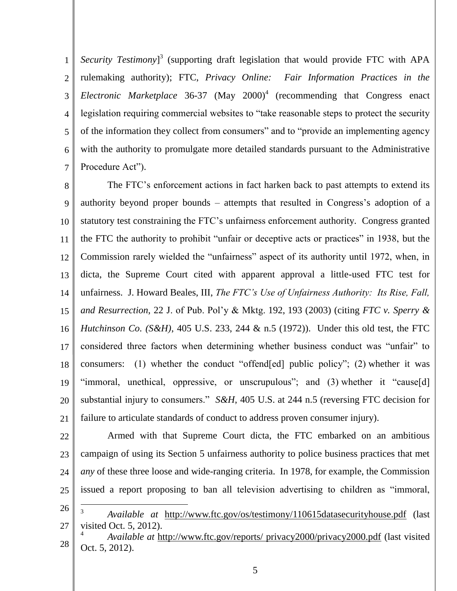1 2 3 4 5 6 7 Security Testimony<sup>3</sup> (supporting draft legislation that would provide FTC with APA rulemaking authority); FTC, *Privacy Online: Fair Information Practices in the Electronic Marketplace* 36-37 (May  $2000$ <sup>4</sup> (recommending that Congress enact legislation requiring commercial websites to "take reasonable steps to protect the security of the information they collect from consumers" and to "provide an implementing agency with the authority to promulgate more detailed standards pursuant to the Administrative Procedure Act").

8 9 10 11 12 13 14 15 16 17 18 19 20 21 The FTC's enforcement actions in fact harken back to past attempts to extend its authority beyond proper bounds – attempts that resulted in Congress's adoption of a statutory test constraining the FTC's unfairness enforcement authority. Congress granted the FTC the authority to prohibit "unfair or deceptive acts or practices" in 1938, but the Commission rarely wielded the "unfairness" aspect of its authority until 1972, when, in dicta, the Supreme Court cited with apparent approval a little-used FTC test for unfairness. J. Howard Beales, III, *The FTC's Use of Unfairness Authority: Its Rise, Fall, and Resurrection*, 22 J. of Pub. Pol'y & Mktg. 192, 193 (2003) (citing *FTC v. Sperry & Hutchinson Co. (S&H)*, 405 U.S. 233, 244 & n.5 (1972)). Under this old test, the FTC considered three factors when determining whether business conduct was "unfair" to consumers: (1) whether the conduct "offend[ed] public policy"; (2) whether it was "immoral, unethical, oppressive, or unscrupulous"; and (3) whether it "cause[d] substantial injury to consumers." *S&H*, 405 U.S. at 244 n.5 (reversing FTC decision for failure to articulate standards of conduct to address proven consumer injury).

22

23 24 25 Armed with that Supreme Court dicta, the FTC embarked on an ambitious campaign of using its Section 5 unfairness authority to police business practices that met *any* of these three loose and wide-ranging criteria. In 1978, for example, the Commission issued a report proposing to ban all television advertising to children as "immoral,  $\overline{a}$ 

- 26 27 <sup>3</sup> *Available at* <http://www.ftc.gov/os/testimony/110615datasecurityhouse.pdf> (last visited Oct. 5, 2012).
- 28 <sup>4</sup> *Available at* [http://www.ftc.gov/reports/ privacy2000/privacy2000.pdf](http://www.ftc.gov/reports/%20privacy2000/privacy2000.pdf) (last visited Oct. 5, 2012).
	- 5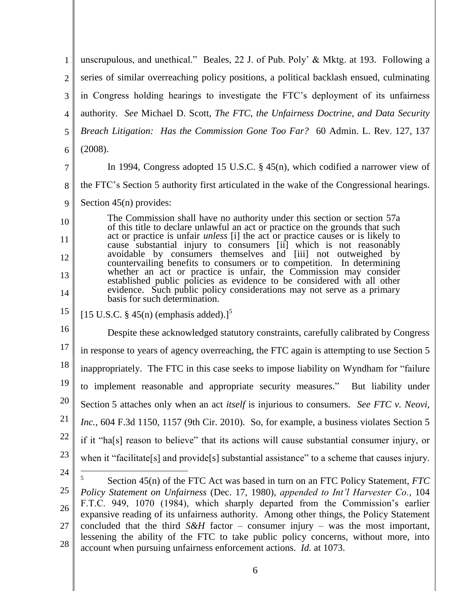1 2 3 4 5 6 unscrupulous, and unethical." Beales, 22 J. of Pub. Poly' & Mktg. at 193. Following a series of similar overreaching policy positions, a political backlash ensued, culminating in Congress holding hearings to investigate the FTC's deployment of its unfairness authority. *See* Michael D. Scott, *The FTC, the Unfairness Doctrine, and Data Security Breach Litigation: Has the Commission Gone Too Far?* 60 Admin. L. Rev. 127, 137 (2008). In 1994, Congress adopted 15 U.S.C. § 45(n), which codified a narrower view of

- 7
- the FTC's Section 5 authority first articulated in the wake of the Congressional hearings.
- 8
	- 9 Section 45(n) provides:

10 11 12 13 14 The Commission shall have no authority under this section or section 57a of this title to declare unlawful an act or practice on the grounds that such act or practice is unfair *unless* [i] the act or practice causes or is likely to cause substantial injury to consumers [ii] which is not reasonably avoidable by consumers themselves and [iii] not outweighed by countervailing benefits to consumers or to competition. In determining whether an act or practice is unfair, the Commission may consider established public policies as evidence to be considered with all other evidence. Such public policy considerations may not serve as a primary basis for such determination.

15 [15 U.S.C.  $\S$  45(n) (emphasis added).]<sup>5</sup>

16 17 18 19 20 21 22 23 Despite these acknowledged statutory constraints, carefully calibrated by Congress in response to years of agency overreaching, the FTC again is attempting to use Section 5 inappropriately. The FTC in this case seeks to impose liability on Wyndham for "failure to implement reasonable and appropriate security measures." But liability under Section 5 attaches only when an act *itself* is injurious to consumers. *See FTC v. Neovi, Inc.*, 604 F.3d 1150, 1157 (9th Cir. 2010). So, for example, a business violates Section 5 if it "ha[s] reason to believe" that its actions will cause substantial consumer injury, or when it "facilitate[s] and provide[s] substantial assistance" to a scheme that causes injury.  $\overline{a}$ 

<sup>25</sup> 26 27 28 5 Section 45(n) of the FTC Act was based in turn on an FTC Policy Statement, *FTC Policy Statement on Unfairness* (Dec. 17, 1980), *appended to Int'l Harvester Co.*, 104 F.T.C. 949, 1070 (1984), which sharply departed from the Commission's earlier expansive reading of its unfairness authority. Among other things, the Policy Statement concluded that the third *S&H* factor – consumer injury – was the most important, lessening the ability of the FTC to take public policy concerns, without more, into account when pursuing unfairness enforcement actions. *Id.* at 1073.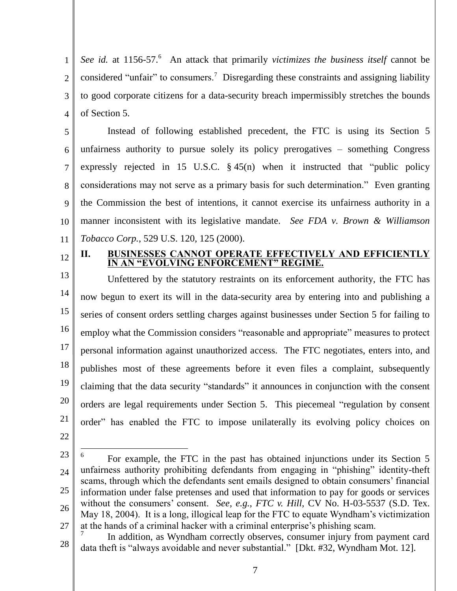1 2 3 4 See id. at 1156-57.<sup>6</sup> An attack that primarily *victimizes the business itself* cannot be considered "unfair" to consumers.<sup>7</sup> Disregarding these constraints and assigning liability to good corporate citizens for a data-security breach impermissibly stretches the bounds of Section 5.

5 6 7 8 9 10 11 Instead of following established precedent, the FTC is using its Section 5 unfairness authority to pursue solely its policy prerogatives – something Congress expressly rejected in 15 U.S.C.  $\S$  45(n) when it instructed that "public policy considerations may not serve as a primary basis for such determination." Even granting the Commission the best of intentions, it cannot exercise its unfairness authority in a manner inconsistent with its legislative mandate. *See FDA v. Brown & Williamson Tobacco Corp.*, 529 U.S. 120, 125 (2000).

12

#### **II. BUSINESSES CANNOT OPERATE EFFECTIVELY AND EFFICIENTLY IN AN "EVOLVING ENFORCEMENT" REGIME.**

13 14 15 16 17 18 19 20 21 Unfettered by the statutory restraints on its enforcement authority, the FTC has now begun to exert its will in the data-security area by entering into and publishing a series of consent orders settling charges against businesses under Section 5 for failing to employ what the Commission considers "reasonable and appropriate" measures to protect personal information against unauthorized access. The FTC negotiates, enters into, and publishes most of these agreements before it even files a complaint, subsequently claiming that the data security "standards" it announces in conjunction with the consent orders are legal requirements under Section 5. This piecemeal "regulation by consent order" has enabled the FTC to impose unilaterally its evolving policy choices on

22

<sup>23</sup>

<sup>24</sup> 25 26 27 6 For example, the FTC in the past has obtained injunctions under its Section 5 unfairness authority prohibiting defendants from engaging in "phishing" identity-theft scams, through which the defendants sent emails designed to obtain consumers' financial information under false pretenses and used that information to pay for goods or services without the consumers' consent. *See, e.g.*, *FTC v. Hill*, CV No. H-03-5537 (S.D. Tex. May 18, 2004). It is a long, illogical leap for the FTC to equate Wyndham's victimization at the hands of a criminal hacker with a criminal enterprise's phishing scam.

<sup>28</sup> 7 In addition, as Wyndham correctly observes, consumer injury from payment card data theft is "always avoidable and never substantial." [Dkt. #32, Wyndham Mot. 12].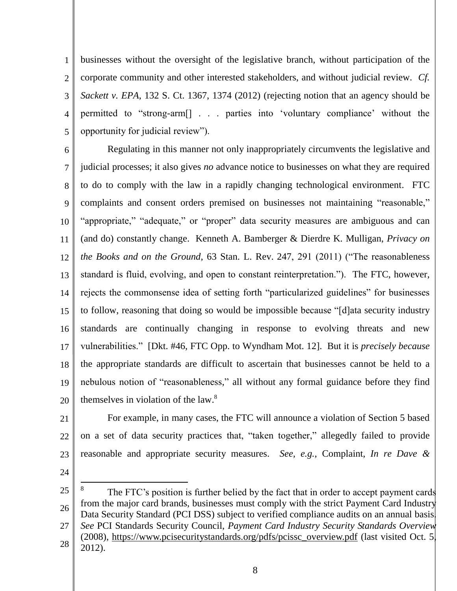1 2 3 4 5 businesses without the oversight of the legislative branch, without participation of the corporate community and other interested stakeholders, and without judicial review. *Cf. Sackett v. EPA*, 132 S. Ct. 1367, 1374 (2012) (rejecting notion that an agency should be permitted to "strong-arm[] . . . parties into 'voluntary compliance' without the opportunity for judicial review").

6 7 8 9 10 11 12 13 14 15 16 17 18 19 20 Regulating in this manner not only inappropriately circumvents the legislative and judicial processes; it also gives *no* advance notice to businesses on what they are required to do to comply with the law in a rapidly changing technological environment. FTC complaints and consent orders premised on businesses not maintaining "reasonable," "appropriate," "adequate," or "proper" data security measures are ambiguous and can (and do) constantly change. Kenneth A. Bamberger & Dierdre K. Mulligan, *Privacy on the Books and on the Ground*, 63 Stan. L. Rev. 247, 291 (2011) ("The reasonableness standard is fluid, evolving, and open to constant reinterpretation."). The FTC, however, rejects the commonsense idea of setting forth "particularized guidelines" for businesses to follow, reasoning that doing so would be impossible because "[d]ata security industry standards are continually changing in response to evolving threats and new vulnerabilities." [Dkt. #46, FTC Opp. to Wyndham Mot. 12]. But it is *precisely because*  the appropriate standards are difficult to ascertain that businesses cannot be held to a nebulous notion of "reasonableness," all without any formal guidance before they find themselves in violation of the law.<sup>8</sup>

21

22 23 For example, in many cases, the FTC will announce a violation of Section 5 based on a set of data security practices that, "taken together," allegedly failed to provide reasonable and appropriate security measures. *See, e.g.*, Complaint, *In re Dave &* 

24

 $\overline{a}$ 

27 28 *See* PCI Standards Security Council, *Payment Card Industry Security Standards Overview* (2008), [https://www.pcisecuritystandards.org/pdfs/pcissc\\_overview.pdf](https://www.pcisecuritystandards.org/pdfs/pcissc_overview.pdf) (last visited Oct. 5, 2012).

<sup>25</sup> 26 8 The FTC's position is further belied by the fact that in order to accept payment cards from the major card brands, businesses must comply with the strict Payment Card Industry Data Security Standard (PCI DSS) subject to verified compliance audits on an annual basis.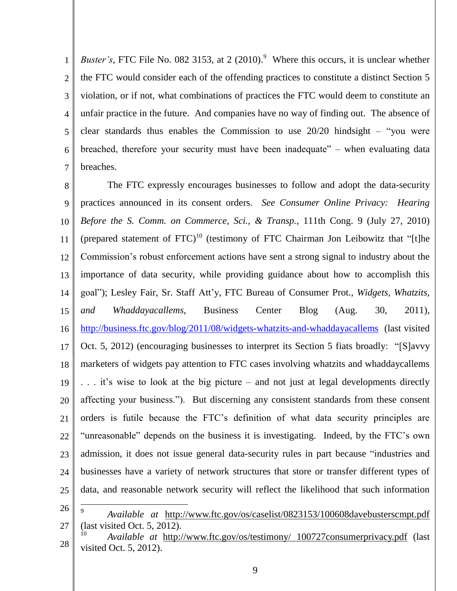1 2 3 4 5 6 7 *Buster's*, FTC File No. 082 3153, at 2 (2010).<sup>9</sup> Where this occurs, it is unclear whether the FTC would consider each of the offending practices to constitute a distinct Section 5 violation, or if not, what combinations of practices the FTC would deem to constitute an unfair practice in the future. And companies have no way of finding out. The absence of clear standards thus enables the Commission to use  $20/20$  hindsight – "you were breached, therefore your security must have been inadequate" – when evaluating data breaches.

8 9 10 11 12 13 14 15 16 17 18 19 20 21 22 23 24 25 The FTC expressly encourages businesses to follow and adopt the data-security practices announced in its consent orders. *See Consumer Online Privacy: Hearing Before the S. Comm. on Commerce, Sci., & Transp.*, 111th Cong. 9 (July 27, 2010) (prepared statement of  $FTC$ )<sup>10</sup> (testimony of FTC Chairman Jon Leibowitz that "[t]he Commission's robust enforcement actions have sent a strong signal to industry about the importance of data security, while providing guidance about how to accomplish this goal"); Lesley Fair, Sr. Staff Att'y, FTC Bureau of Consumer Prot., *Widgets, Whatzits, and Whaddayacallems,* Business Center Blog (Aug. 30, 2011), <http://business.ftc.gov/blog/2011/08/widgets-whatzits-and-whaddayacallems> (last visited Oct. 5, 2012) (encouraging businesses to interpret its Section 5 fiats broadly: "[S]avvy marketers of widgets pay attention to FTC cases involving whatzits and whaddaycallems . . . it's wise to look at the big picture – and not just at legal developments directly affecting your business."). But discerning any consistent standards from these consent orders is futile because the FTC's definition of what data security principles are "unreasonable" depends on the business it is investigating. Indeed, by the FTC's own admission, it does not issue general data-security rules in part because "industries and businesses have a variety of network structures that store or transfer different types of data, and reasonable network security will reflect the likelihood that such information

26

<sup>27</sup> 9 *Available at* <http://www.ftc.gov/os/caselist/0823153/100608davebusterscmpt.pdf> (last visited Oct. 5, 2012).

<sup>28</sup> <sup>10</sup> *Available at* [http://www.ftc.gov/os/testimony/ 100727consumerprivacy.pdf](http://www.ftc.gov/os/testimony/%20100727consumerprivacy.pdf) (last visited Oct. 5, 2012).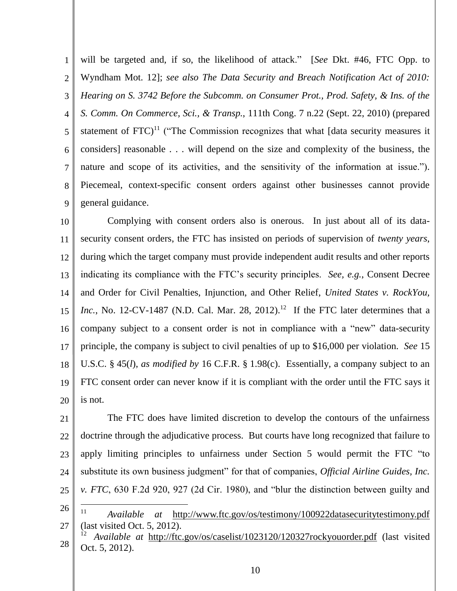1 2 3 4 5 6 7 8 9 will be targeted and, if so, the likelihood of attack." [*See* Dkt. #46, FTC Opp. to Wyndham Mot. 12]; *see also The Data Security and Breach Notification Act of 2010: Hearing on S. 3742 Before the Subcomm. on Consumer Prot., Prod. Safety, & Ins. of the S. Comm. On Commerce, Sci., & Transp.*, 111th Cong. 7 n.22 (Sept. 22, 2010) (prepared statement of  $FTC$ <sup>11</sup> ("The Commission recognizes that what [data security measures it considers] reasonable . . . will depend on the size and complexity of the business, the nature and scope of its activities, and the sensitivity of the information at issue."). Piecemeal, context-specific consent orders against other businesses cannot provide general guidance.

10 11 12 13 14 15 16 17 18 19 20 Complying with consent orders also is onerous. In just about all of its datasecurity consent orders, the FTC has insisted on periods of supervision of *twenty years*, during which the target company must provide independent audit results and other reports indicating its compliance with the FTC's security principles. *See, e.g.*, Consent Decree and Order for Civil Penalties, Injunction, and Other Relief, *United States v. RockYou, Inc.*, No. 12-CV-1487 (N.D. Cal. Mar. 28, 2012).<sup>12</sup> If the FTC later determines that a company subject to a consent order is not in compliance with a "new" data-security principle, the company is subject to civil penalties of up to \$16,000 per violation. *See* 15 U.S.C. § 45(*l*), *as modified by* 16 C.F.R. § 1.98(c).Essentially, a company subject to an FTC consent order can never know if it is compliant with the order until the FTC says it is not.

21 22 23 24 25 26 The FTC does have limited discretion to develop the contours of the unfairness doctrine through the adjudicative process. But courts have long recognized that failure to apply limiting principles to unfairness under Section 5 would permit the FTC "to substitute its own business judgment" for that of companies, *Official Airline Guides, Inc. v. FTC*, 630 F.2d 920, 927 (2d Cir. 1980), and "blur the distinction between guilty and  $\overline{a}$ 

- 27 <sup>11</sup> *Available at* <http://www.ftc.gov/os/testimony/100922datasecuritytestimony.pdf> (last visited Oct. 5, 2012).
- 28 <sup>12</sup> *Available at* <http://ftc.gov/os/caselist/1023120/120327rockyouorder.pdf> (last visited Oct. 5, 2012).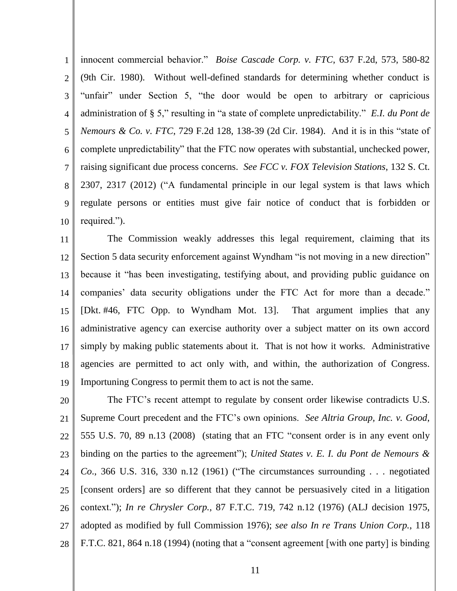1 2 3 4 5 6 7 8 9 10 innocent commercial behavior." *Boise Cascade Corp. v. FTC*, 637 F.2d, 573, 580-82 (9th Cir. 1980). Without well-defined standards for determining whether conduct is "unfair" under Section 5, "the door would be open to arbitrary or capricious administration of § 5," resulting in "a state of complete unpredictability." *E.I. du Pont de Nemours & Co. v. FTC*, 729 F.2d 128, 138-39 (2d Cir. 1984). And it is in this "state of complete unpredictability" that the FTC now operates with substantial, unchecked power, raising significant due process concerns. *See FCC v. FOX Television Stations*, 132 S. Ct. 2307, 2317 (2012) ("A fundamental principle in our legal system is that laws which regulate persons or entities must give fair notice of conduct that is forbidden or required.").

11 12 13 14 15 16 17 18 19 The Commission weakly addresses this legal requirement, claiming that its Section 5 data security enforcement against Wyndham "is not moving in a new direction" because it "has been investigating, testifying about, and providing public guidance on companies' data security obligations under the FTC Act for more than a decade." [Dkt. #46, FTC Opp. to Wyndham Mot. 13]. That argument implies that any administrative agency can exercise authority over a subject matter on its own accord simply by making public statements about it. That is not how it works. Administrative agencies are permitted to act only with, and within, the authorization of Congress. Importuning Congress to permit them to act is not the same.

20 21 22 23 24 25 26 27 28 The FTC's recent attempt to regulate by consent order likewise contradicts U.S. Supreme Court precedent and the FTC's own opinions. *See Altria Group, Inc. v. Good*, 555 U.S. 70, 89 n.13 (2008) (stating that an FTC "consent order is in any event only binding on the parties to the agreement"); *United States v. E. I. du Pont de Nemours & Co*., 366 U.S. 316, 330 n.12 (1961) ("The circumstances surrounding . . . negotiated [consent orders] are so different that they cannot be persuasively cited in a litigation context."); *In re Chrysler Corp.*, 87 F.T.C. 719, 742 n.12 (1976) (ALJ decision 1975, adopted as modified by full Commission 1976); *see also In re Trans Union Corp.*, 118 F.T.C. 821, 864 n.18 (1994) (noting that a "consent agreement [with one party] is binding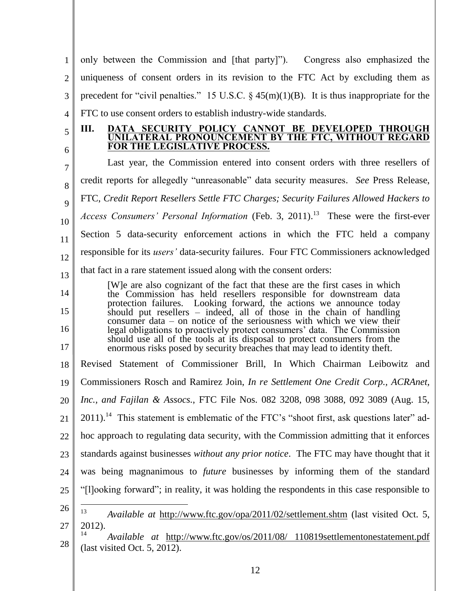1 2 3 4 5 6 7 8  $\mathbf Q$ 10 11 12 13 14 15 16 17 18 19 20 21 22 23 24 25 26 27 28 only between the Commission and [that party]"). Congress also emphasized the uniqueness of consent orders in its revision to the FTC Act by excluding them as precedent for "civil penalties." 15 U.S.C.  $\S$  45(m)(1)(B). It is thus inappropriate for the FTC to use consent orders to establish industry-wide standards. **III. DATA SECURITY POLICY CANNOT BE DEVELOPED THROUGH UNILATERAL PRONOUNCEMENT BY THE FTC, WITHOUT REGARD FOR THE LEGISLATIVE PROCESS.** Last year, the Commission entered into consent orders with three resellers of credit reports for allegedly "unreasonable" data security measures. *See* Press Release, FTC, *Credit Report Resellers Settle FTC Charges; Security Failures Allowed Hackers to Access Consumers' Personal Information* (Feb. 3, 2011). 13 These were the first-ever Section 5 data-security enforcement actions in which the FTC held a company responsible for its *users'* data-security failures. Four FTC Commissioners acknowledged that fact in a rare statement issued along with the consent orders: [W]e are also cognizant of the fact that these are the first cases in which the Commission has held resellers responsible for downstream data protection failures. Looking forward, the actions we announce today should put resellers – indeed, all of those in the chain of handling consumer data – on notice of the seriousness with which we view their legal obligations to proactively protect consumers' data. The Commission should use all of the tools at its disposal to protect consumers from the enormous risks posed by security breaches that may lead to identity theft. Revised Statement of Commissioner Brill, In Which Chairman Leibowitz and Commissioners Rosch and Ramirez Join, *In re Settlement One Credit Corp., ACRAnet, Inc., and Fajilan & Assocs.*, FTC File Nos. 082 3208, 098 3088, 092 3089 (Aug. 15,  $2011$ ).<sup>14</sup> This statement is emblematic of the FTC's "shoot first, ask questions later" adhoc approach to regulating data security, with the Commission admitting that it enforces standards against businesses *without any prior notice*. The FTC may have thought that it was being magnanimous to *future* businesses by informing them of the standard "[l]ooking forward"; in reality, it was holding the respondents in this case responsible to  $\overline{a}$ <sup>13</sup> *Available at* <http://www.ftc.gov/opa/2011/02/settlement.shtm> (last visited Oct. 5, 2012). <sup>14</sup> *Available at* [http://www.ftc.gov/os/2011/08/ 110819settlementonestatement.pdf](http://www.ftc.gov/os/2011/08/%20110819settlementonestatement.pdf) (last visited Oct. 5, 2012).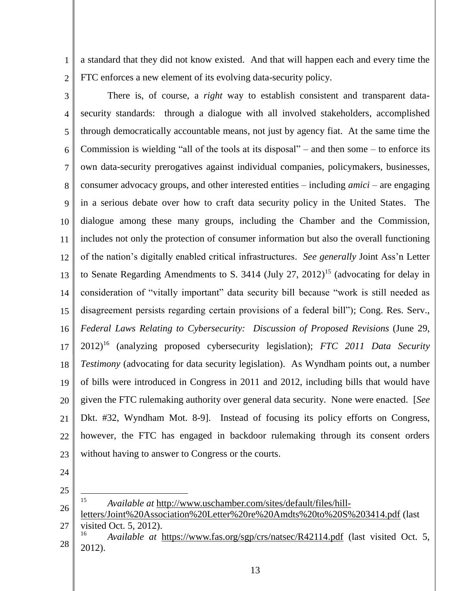1 2 a standard that they did not know existed. And that will happen each and every time the FTC enforces a new element of its evolving data-security policy.

3 4 5 6 7 8 9 10 11 12 13 14 15 16 17 18 19 20 21 22 23 There is, of course, a *right* way to establish consistent and transparent datasecurity standards: through a dialogue with all involved stakeholders, accomplished through democratically accountable means, not just by agency fiat. At the same time the Commission is wielding "all of the tools at its disposal" – and then some – to enforce its own data-security prerogatives against individual companies, policymakers, businesses, consumer advocacy groups, and other interested entities – including *amici* – are engaging in a serious debate over how to craft data security policy in the United States. The dialogue among these many groups, including the Chamber and the Commission, includes not only the protection of consumer information but also the overall functioning of the nation's digitally enabled critical infrastructures. *See generally* Joint Ass'n Letter to Senate Regarding Amendments to S. 3414 (July 27, 2012)<sup>15</sup> (advocating for delay in consideration of "vitally important" data security bill because "work is still needed as disagreement persists regarding certain provisions of a federal bill"); Cong. Res. Serv., *Federal Laws Relating to Cybersecurity: Discussion of Proposed Revisions* (June 29, 2012)<sup>16</sup> (analyzing proposed cybersecurity legislation); *FTC 2011 Data Security Testimony* (advocating for data security legislation). As Wyndham points out, a number of bills were introduced in Congress in 2011 and 2012, including bills that would have given the FTC rulemaking authority over general data security. None were enacted. [*See*  Dkt. #32, Wyndham Mot. 8-9]. Instead of focusing its policy efforts on Congress, however, the FTC has engaged in backdoor rulemaking through its consent orders without having to answer to Congress or the courts.

- 24
- 25

- 27 [letters/Joint%20Association%20Letter%20re%20Amdts%20to%20S%203414.pdf](http://www.uschamber.com/sites/default/files/hill-letters/Joint%20Association%20Letter%20re%20Amdts%20to%20S%203414.pdf) (last visited Oct. 5, 2012).
- 28 Available at <https://www.fas.org/sgp/crs/natsec/R42114.pdf> (last visited Oct. 5, 2012).

<sup>26</sup> <sup>15</sup> *Available at* [http://www.uschamber.com/sites/default/files/hill-](http://www.uschamber.com/sites/default/files/hill-letters/Joint%20Association%20Letter%20re%20Amdts%20to%20S%203414.pdf)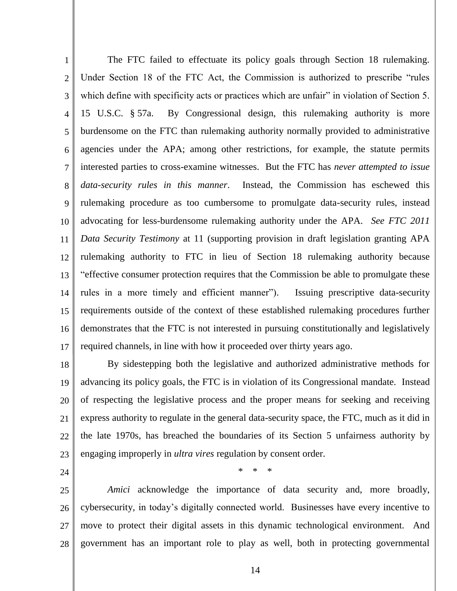1 2 3 4 5 6 7 8 9 10 11 12 13 14 15 16 17 The FTC failed to effectuate its policy goals through Section 18 rulemaking. Under Section 18 of the FTC Act, the Commission is authorized to prescribe "rules which define with specificity acts or practices which are unfair" in violation of Section 5. 15 U.S.C. § 57a. By Congressional design, this rulemaking authority is more burdensome on the FTC than rulemaking authority normally provided to administrative agencies under the APA; among other restrictions, for example, the statute permits interested parties to cross-examine witnesses. But the FTC has *never attempted to issue data-security rules in this manner*. Instead, the Commission has eschewed this rulemaking procedure as too cumbersome to promulgate data-security rules, instead advocating for less-burdensome rulemaking authority under the APA. *See FTC 2011 Data Security Testimony* at 11 (supporting provision in draft legislation granting APA rulemaking authority to FTC in lieu of Section 18 rulemaking authority because "effective consumer protection requires that the Commission be able to promulgate these rules in a more timely and efficient manner"). Issuing prescriptive data-security requirements outside of the context of these established rulemaking procedures further demonstrates that the FTC is not interested in pursuing constitutionally and legislatively required channels, in line with how it proceeded over thirty years ago.

18 19 20 21 22 23 By sidestepping both the legislative and authorized administrative methods for advancing its policy goals, the FTC is in violation of its Congressional mandate. Instead of respecting the legislative process and the proper means for seeking and receiving express authority to regulate in the general data-security space, the FTC, much as it did in the late 1970s, has breached the boundaries of its Section 5 unfairness authority by engaging improperly in *ultra vires* regulation by consent order.

24

25 26 27 28 *Amici* acknowledge the importance of data security and, more broadly, cybersecurity, in today's digitally connected world. Businesses have every incentive to move to protect their digital assets in this dynamic technological environment. And government has an important role to play as well, both in protecting governmental

\* \* \*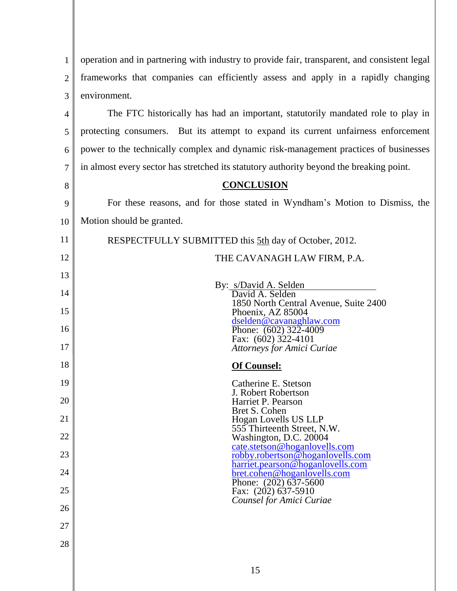| 1  | operation and in partnering with industry to provide fair, transparent, and consistent legal |
|----|----------------------------------------------------------------------------------------------|
| 2  | frameworks that companies can efficiently assess and apply in a rapidly changing             |
| 3  | environment.                                                                                 |
| 4  | The FTC historically has had an important, statutorily mandated role to play in              |
| 5  | protecting consumers. But its attempt to expand its current unfairness enforcement           |
| 6  | power to the technically complex and dynamic risk-management practices of businesses         |
| 7  | in almost every sector has stretched its statutory authority beyond the breaking point.      |
| 8  | <b>CONCLUSION</b>                                                                            |
| 9  | For these reasons, and for those stated in Wyndham's Motion to Dismiss, the                  |
| 10 | Motion should be granted.                                                                    |
| 11 | RESPECTFULLY SUBMITTED this 5th day of October, 2012.                                        |
| 12 | THE CAVANAGH LAW FIRM, P.A.                                                                  |
| 13 | By: s/David A. Selden                                                                        |
| 14 | David A. Selden<br>1850 North Central Avenue, Suite 2400                                     |
| 15 | Phoenix, AZ 85004<br>dselden@cavanaghlaw.com                                                 |
| 16 | Phone: (602) 322-4009<br>Fax: (602) 322-4101                                                 |
| 17 | <b>Attorneys for Amici Curiae</b>                                                            |
| 18 | <b>Of Counsel:</b>                                                                           |
| 19 | Catherine E. Stetson<br>J. Robert Robertson                                                  |
| 20 | Harriet P. Pearson<br>Bret S. Cohen                                                          |
| 21 | Hogan Lovells US LLP<br>555 Thirteenth Street, N.W.                                          |
| 22 | Washington, D.C. 20004<br>cate.stetson@hoganlovells.com                                      |
| 23 | <u>robby.robertson@hoganlovells.com</u><br>harriet.pearson@hoganlovells.com                  |
| 24 | <u>bret.cohen@hoganlovells.com</u><br>Phone: $(202)$ 637-5600                                |
| 25 | Fax: (202) 637-5910<br>Counsel for Amici Curiae                                              |
| 26 |                                                                                              |
| 27 |                                                                                              |
| 28 |                                                                                              |
|    |                                                                                              |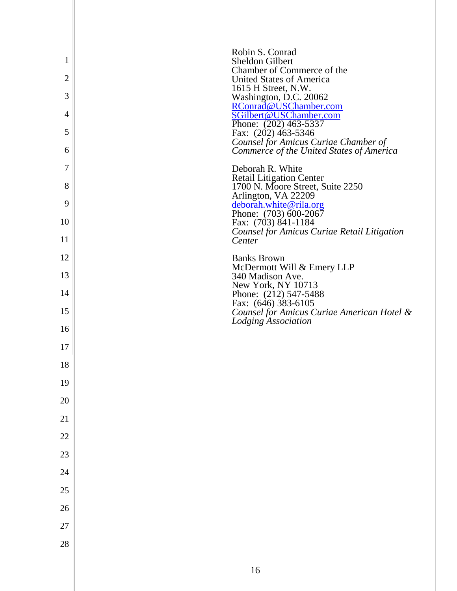| 1<br>$\overline{2}$ | Robin S. Conrad<br>Sheldon Gilbert<br>Chamber of Commerce of the<br><b>United States of America</b> |
|---------------------|-----------------------------------------------------------------------------------------------------|
| 3                   | 1615 H Street, N.W.<br>Washington, D.C. 20062                                                       |
| 4                   | RConrad@USChamber.com<br>SGilbert@USChamber.com                                                     |
| 5                   | Phone: (202) 463-5337<br>Fax: (202) 463-5346                                                        |
| 6                   | Counsel for Amicus Curiae Chamber of<br>Commerce of the United States of America                    |
| 7                   | Deborah R. White                                                                                    |
| 8                   | <b>Retail Litigation Center</b><br>1700 N. Moore Street, Suite 2250<br>Arlington, VA 22209          |
| 9                   | deborah.white@rila.org<br>Phone: $(703)$ 600-2067                                                   |
| 10                  | Fax: (703) 841-1184<br><b>Counsel for Amicus Curiae Retail Litigation</b>                           |
| 11                  | Center                                                                                              |
| 12                  | <b>Banks Brown</b><br>McDermott Will & Emery LLP                                                    |
| 13                  | 340 Madison Ave.<br>New York, NY 10713                                                              |
| 14                  | Phone: (212) 547-5488<br>Fax: (646) 383-6105                                                        |
| 15                  | Counsel for Amicus Curiae American Hotel &<br><b>Lodging Association</b>                            |
| 16                  |                                                                                                     |
| 17                  |                                                                                                     |
| 18                  |                                                                                                     |
| 19                  |                                                                                                     |
| 20                  |                                                                                                     |
| 21                  |                                                                                                     |
| 22                  |                                                                                                     |
| 23                  |                                                                                                     |
| 24                  |                                                                                                     |
| 25                  |                                                                                                     |
| 26                  |                                                                                                     |
| 27                  |                                                                                                     |
| 28                  |                                                                                                     |
|                     |                                                                                                     |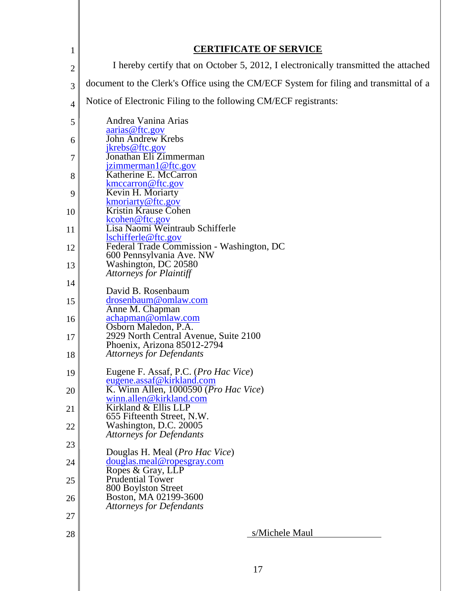|                | <b>CERTIFICATE OF SERVICE</b>                                                          |
|----------------|----------------------------------------------------------------------------------------|
| $\mathbf{1}$   | I hereby certify that on October 5, 2012, I electronically transmitted the attached    |
| 2              |                                                                                        |
| 3              | document to the Clerk's Office using the CM/ECF System for filing and transmittal of a |
| $\overline{4}$ | Notice of Electronic Filing to the following CM/ECF registrants:                       |
| 5              | Andrea Vanina Arias<br>aarias@ftc.gov                                                  |
| 6              | John Andrew Krebs                                                                      |
| 7              | jkrebs@ftc.gov<br>Jonathan Eli Zimmerman                                               |
| 8              | jzimmerman1@ftc.gov<br>Katherine E. McCarron                                           |
| 9              | kmccarron@ftc.gov<br>Kevin H. Moriarty                                                 |
| 10             | kmoriarty@ftc.gov<br><b>Kristin Krause Cohen</b>                                       |
| 11             | kcohen@ftc.gov<br>Lisa Naomi Weintraub Schifferle                                      |
| 12             | lschifferle@ftc.gov<br>Federal Trade Commission - Washington, DC                       |
|                | 600 Pennsylvania Ave. NW<br>Washington, DC 20580                                       |
| 13             | <b>Attorneys for Plaintiff</b>                                                         |
| 14             | David B. Rosenbaum                                                                     |
| 15             | drosenbaum@omlaw.com<br>Anne M. Chapman                                                |
| 16             | achapman@omlaw.com<br>Osborn Maledon, P.A.                                             |
| 17             | 2929 North Central Avenue, Suite 2100<br>Phoenix, Arizona 85012-2794                   |
| 18             | <b>Attorneys for Defendants</b>                                                        |
| 19             | Eugene F. Assaf, P.C. ( <i>Pro Hac Vice</i> )<br>eugene.assaf@kirkland.com             |
| 20             | K. Winn Allen, 1000590 (Pro Hac Vice)<br>winn.allen@kirkland.com                       |
| 21             | Kirkland & Ellis LLP                                                                   |
| 22             | 655 Fifteenth Street, N.W.<br>Washington, D.C. 20005                                   |
| 23             | <b>Attorneys for Defendants</b>                                                        |
| 24             | Douglas H. Meal ( <i>Pro Hac Vice</i> )<br>douglas.meal@ropesgray.com                  |
| 25             | Ropes & Gray, LLP<br><b>Prudential Tower</b>                                           |
| 26             | 800 Boylston Street<br>Boston, MA 02199-3600                                           |
| 27             | <b>Attorneys for Defendants</b>                                                        |
| 28             | s/Michele Maul                                                                         |
|                |                                                                                        |
|                |                                                                                        |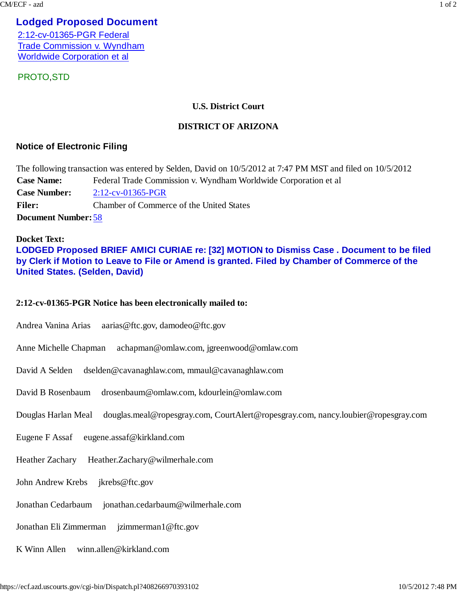## **Lodged Proposed Document**

2:12-cv-01365-PGR Federal Trade Commission v. Wyndham Worldwide Corporation et al

PROTO,STD

#### **U.S. District Court**

#### **DISTRICT OF ARIZONA**

## **Notice of Electronic Filing**

The following transaction was entered by Selden, David on 10/5/2012 at 7:47 PM MST and filed on 10/5/2012 **Case Name:** Federal Trade Commission v. Wyndham Worldwide Corporation et al **Case Number:** 2:12-cv-01365-PGR **Filer:** Chamber of Commerce of the United States **Document Number:** 58

#### **Docket Text: LODGED Proposed BRIEF AMICI CURIAE re: [32] MOTION to Dismiss Case . Document to be filed by Clerk if Motion to Leave to File or Amend is granted. Filed by Chamber of Commerce of the United States. (Selden, David)**

#### **2:12-cv-01365-PGR Notice has been electronically mailed to:**

- Andrea Vanina Arias aarias@ftc.gov, damodeo@ftc.gov
- Anne Michelle Chapman achapman@omlaw.com, jgreenwood@omlaw.com
- David A Selden dselden@cavanaghlaw.com, mmaul@cavanaghlaw.com
- David B Rosenbaum drosenbaum@omlaw.com, kdourlein@omlaw.com
- Douglas Harlan Meal douglas.meal@ropesgray.com, CourtAlert@ropesgray.com, nancy.loubier@ropesgray.com
- Eugene F Assaf eugene.assaf@kirkland.com
- Heather Zachary Heather.Zachary@wilmerhale.com
- John Andrew Krebs ikrebs@ftc.gov
- Jonathan Cedarbaum jonathan.cedarbaum@wilmerhale.com
- Jonathan Eli Zimmerman jzimmerman1@ftc.gov
- K Winn Allen winn.allen@kirkland.com